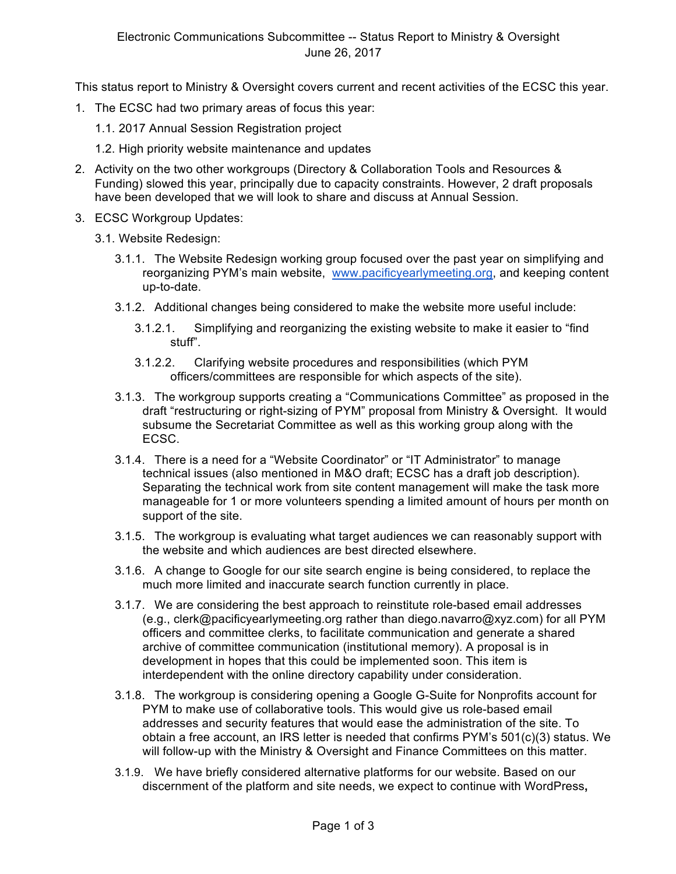This status report to Ministry & Oversight covers current and recent activities of the ECSC this year.

- 1. The ECSC had two primary areas of focus this year:
	- 1.1. 2017 Annual Session Registration project
	- 1.2. High priority website maintenance and updates
- 2. Activity on the two other workgroups (Directory & Collaboration Tools and Resources & Funding) slowed this year, principally due to capacity constraints. However, 2 draft proposals have been developed that we will look to share and discuss at Annual Session.
- 3. ECSC Workgroup Updates:
	- 3.1. Website Redesign:
		- 3.1.1. The Website Redesign working group focused over the past year on simplifying and reorganizing PYM's main website, www.pacificyearlymeeting.org, and keeping content up-to-date.
		- 3.1.2. Additional changes being considered to make the website more useful include:
			- 3.1.2.1. Simplifying and reorganizing the existing website to make it easier to "find stuff".
			- 3.1.2.2. Clarifying website procedures and responsibilities (which PYM officers/committees are responsible for which aspects of the site).
		- 3.1.3. The workgroup supports creating a "Communications Committee" as proposed in the draft "restructuring or right-sizing of PYM" proposal from Ministry & Oversight. It would subsume the Secretariat Committee as well as this working group along with the ECSC.
		- 3.1.4. There is a need for a "Website Coordinator" or "IT Administrator" to manage technical issues (also mentioned in M&O draft; ECSC has a draft job description). Separating the technical work from site content management will make the task more manageable for 1 or more volunteers spending a limited amount of hours per month on support of the site.
		- 3.1.5. The workgroup is evaluating what target audiences we can reasonably support with the website and which audiences are best directed elsewhere.
		- 3.1.6. A change to Google for our site search engine is being considered, to replace the much more limited and inaccurate search function currently in place.
		- 3.1.7. We are considering the best approach to reinstitute role-based email addresses (e.g., clerk@pacificyearlymeeting.org rather than diego.navarro@xyz.com) for all PYM officers and committee clerks, to facilitate communication and generate a shared archive of committee communication (institutional memory). A proposal is in development in hopes that this could be implemented soon. This item is interdependent with the online directory capability under consideration.
		- 3.1.8. The workgroup is considering opening a Google G-Suite for Nonprofits account for PYM to make use of collaborative tools. This would give us role-based email addresses and security features that would ease the administration of the site. To obtain a free account, an IRS letter is needed that confirms PYM's 501(c)(3) status. We will follow-up with the Ministry & Oversight and Finance Committees on this matter.
		- 3.1.9. We have briefly considered alternative platforms for our website. Based on our discernment of the platform and site needs, we expect to continue with WordPress**,**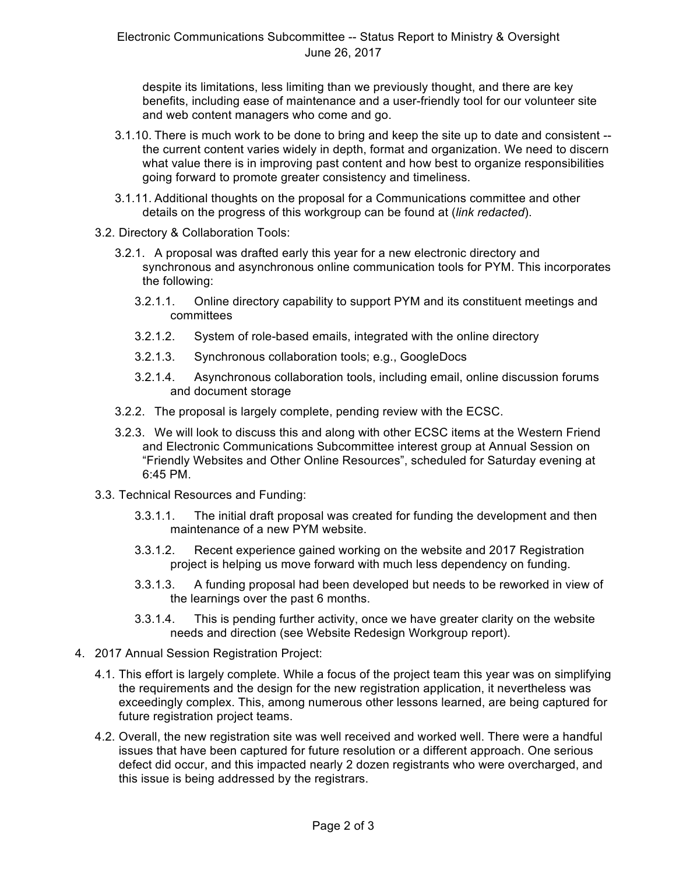despite its limitations, less limiting than we previously thought, and there are key benefits, including ease of maintenance and a user-friendly tool for our volunteer site and web content managers who come and go.

- 3.1.10. There is much work to be done to bring and keep the site up to date and consistent the current content varies widely in depth, format and organization. We need to discern what value there is in improving past content and how best to organize responsibilities going forward to promote greater consistency and timeliness.
- 3.1.11. Additional thoughts on the proposal for a Communications committee and other details on the progress of this workgroup can be found at (*link redacted*).
- 3.2. Directory & Collaboration Tools:
	- 3.2.1. A proposal was drafted early this year for a new electronic directory and synchronous and asynchronous online communication tools for PYM. This incorporates the following:
		- 3.2.1.1. Online directory capability to support PYM and its constituent meetings and committees
		- 3.2.1.2. System of role-based emails, integrated with the online directory
		- 3.2.1.3. Synchronous collaboration tools; e.g., GoogleDocs
		- 3.2.1.4. Asynchronous collaboration tools, including email, online discussion forums and document storage
	- 3.2.2. The proposal is largely complete, pending review with the ECSC.
	- 3.2.3. We will look to discuss this and along with other ECSC items at the Western Friend and Electronic Communications Subcommittee interest group at Annual Session on "Friendly Websites and Other Online Resources", scheduled for Saturday evening at 6:45 PM.
- 3.3. Technical Resources and Funding:
	- 3.3.1.1. The initial draft proposal was created for funding the development and then maintenance of a new PYM website.
	- 3.3.1.2. Recent experience gained working on the website and 2017 Registration project is helping us move forward with much less dependency on funding.
	- 3.3.1.3. A funding proposal had been developed but needs to be reworked in view of the learnings over the past 6 months.
	- 3.3.1.4. This is pending further activity, once we have greater clarity on the website needs and direction (see Website Redesign Workgroup report).
- 4. 2017 Annual Session Registration Project:
	- 4.1. This effort is largely complete. While a focus of the project team this year was on simplifying the requirements and the design for the new registration application, it nevertheless was exceedingly complex. This, among numerous other lessons learned, are being captured for future registration project teams.
	- 4.2. Overall, the new registration site was well received and worked well. There were a handful issues that have been captured for future resolution or a different approach. One serious defect did occur, and this impacted nearly 2 dozen registrants who were overcharged, and this issue is being addressed by the registrars.